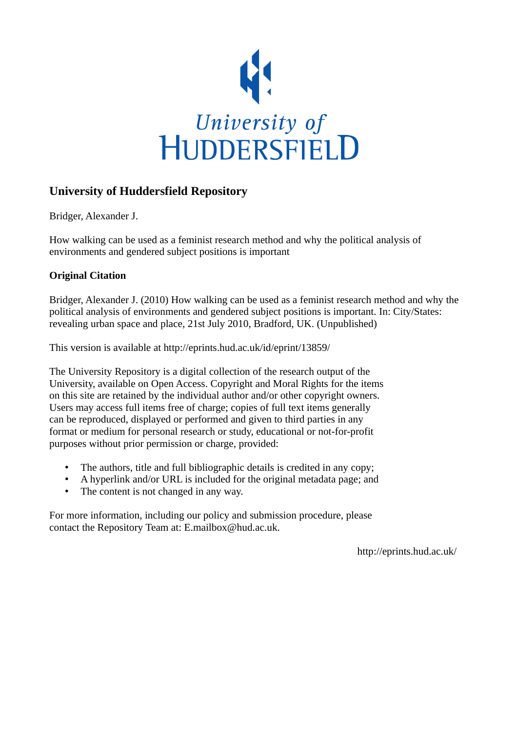

#### **University of Huddersfield Repository**

Bridger, Alexander J.

How walking can be used as a feminist research method and why the political analysis of environments and gendered subject positions is important

#### **Original Citation**

Bridger, Alexander J. (2010) How walking can be used as a feminist research method and why the political analysis of environments and gendered subject positions is important. In: City/States: revealing urban space and place, 21st July 2010, Bradford, UK. (Unpublished)

This version is available at http://eprints.hud.ac.uk/id/eprint/13859/

The University Repository is a digital collection of the research output of the University, available on Open Access. Copyright and Moral Rights for the items on this site are retained by the individual author and/or other copyright owners. Users may access full items free of charge; copies of full text items generally can be reproduced, displayed or performed and given to third parties in any format or medium for personal research or study, educational or not-for-profit purposes without prior permission or charge, provided:

- The authors, title and full bibliographic details is credited in any copy;
- A hyperlink and/or URL is included for the original metadata page; and
- The content is not changed in any way.

For more information, including our policy and submission procedure, please contact the Repository Team at: E.mailbox@hud.ac.uk.

http://eprints.hud.ac.uk/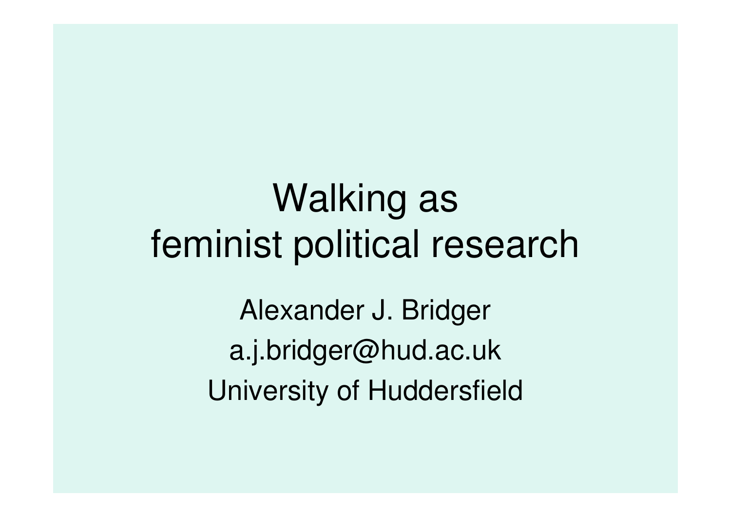# Walking as feminist political research

Alexander J. Bridgera.j.bridger@hud.ac.ukUniversity of Huddersfield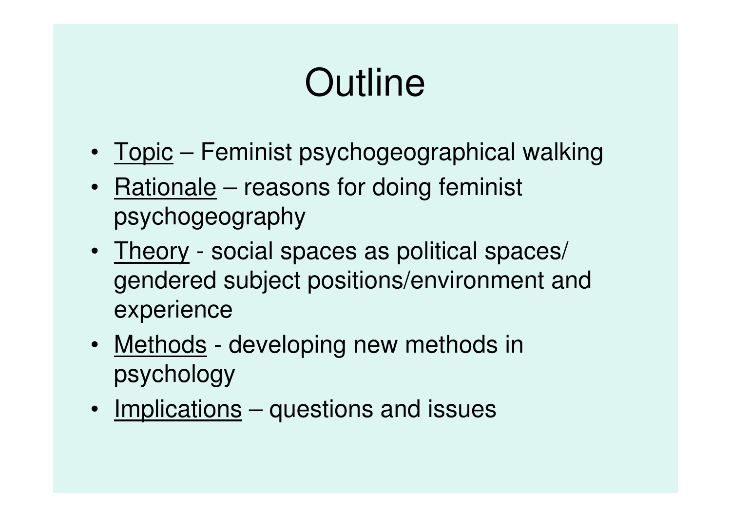# **Outline**

- Topic Feminist psychogeographical walking
- Rationale reasons for doing feminist psychogeography
- Theory social spaces as political spaces/ gendered subject positions/environment and experience
- Methods developing new methods in psychology
- Implications questions and issues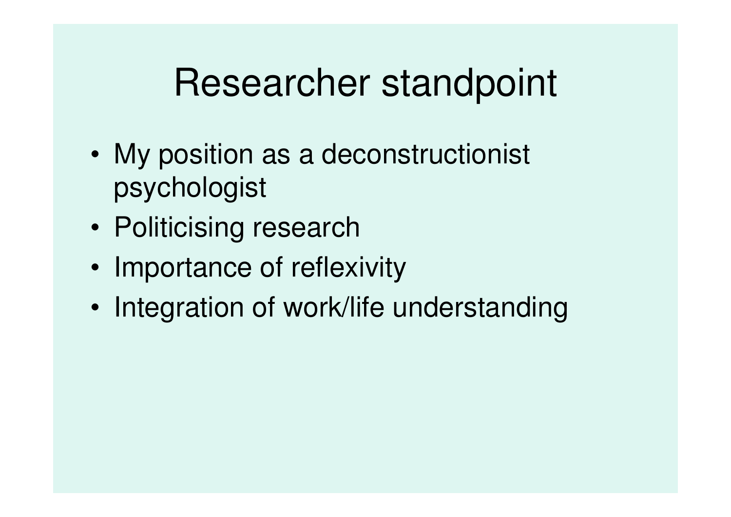## Researcher standpoint

- • My position as a deconstructionist psychologist
- •Politicising research
- •• Importance of reflexivity
- •Integration of work/life understanding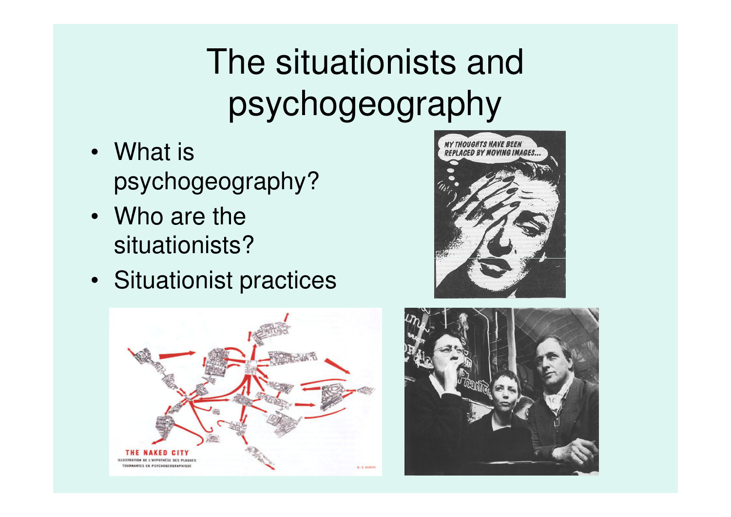# The situationists and psychogeography

- What is psychogeography?
- Who are the situationists?
- Situationist practices





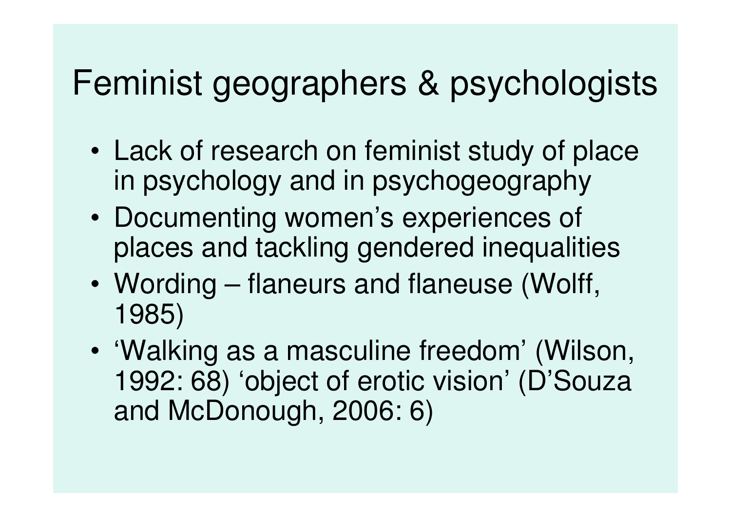### Feminist geographers & psychologists

- • Lack of research on feminist study of place in psychology and in psychogeography
- • Documenting women's experiences of places and tackling gendered inequalities
- • Wording – flaneurs and flaneuse (Wolff, 1985)
- • 'Walking as a masculine freedom' (Wilson, 1992: 68) 'object of erotic vision' (D'Souza and McDonough, 2006: 6)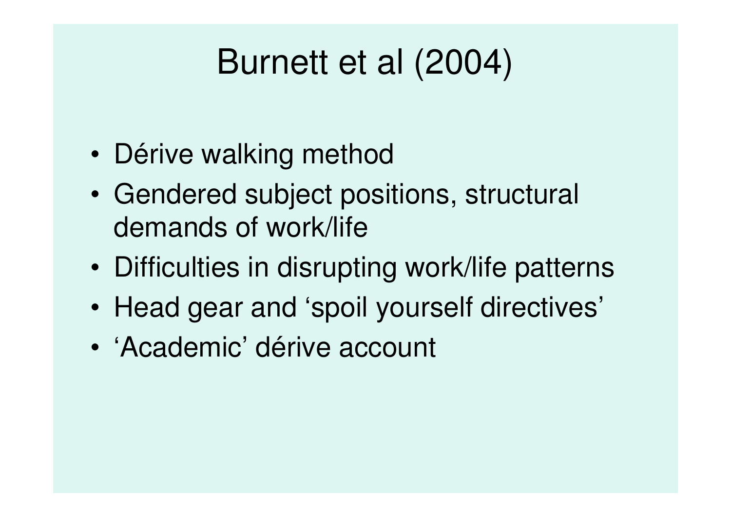## Burnett et al (2004)

- •Dérive walking method
- • Gendered subject positions, structural demands of work/life
- •Difficulties in disrupting work/life patterns
- •Head gear and 'spoil yourself directives'
- •'Academic' dérive account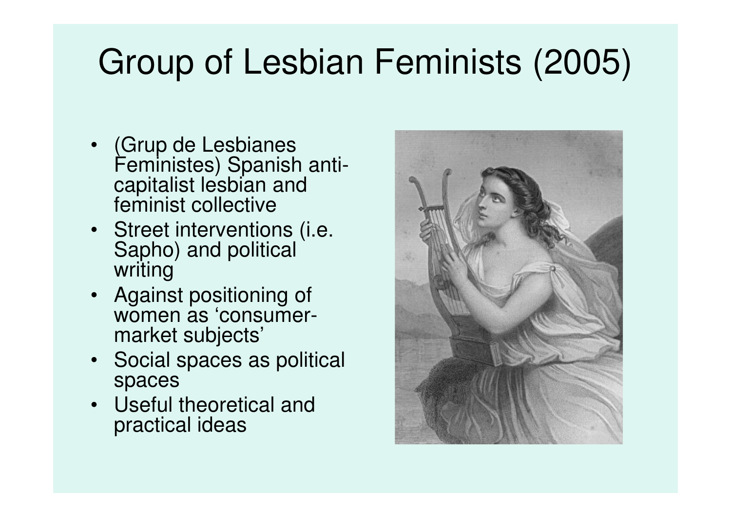### Group of Lesbian Feminists (2005)

- • (Grup de Lesbianes Feministes) Spanish anticapitalist lesbian and feminist collective
- Street interventions (i.e. Sapho) and political writing
- Against positioning of women as 'consumermarket subjects'
- Social spaces as political spaces
- Useful theoretical and practical ideas

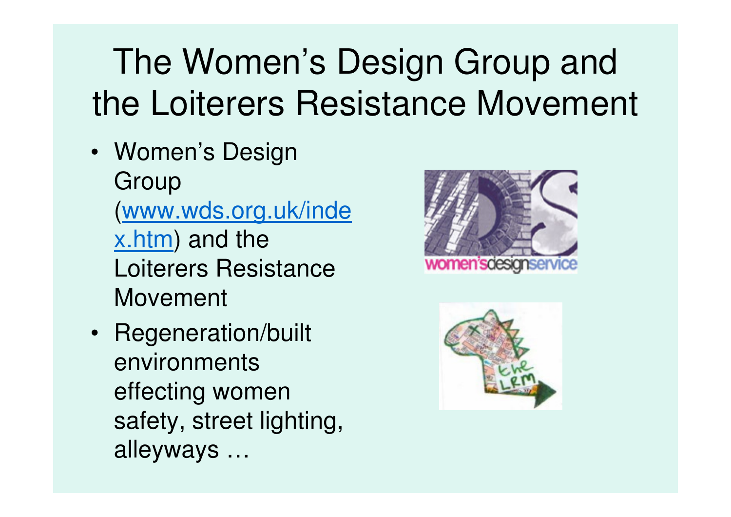# The Women's Design Group and the Loiterers Resistance Movement

- Women's Design Group (www.wds.org.uk/index.htm) and the Loiterers Resistance Movement
- Regeneration/built environments effecting women safety, street lighting, alleyways …



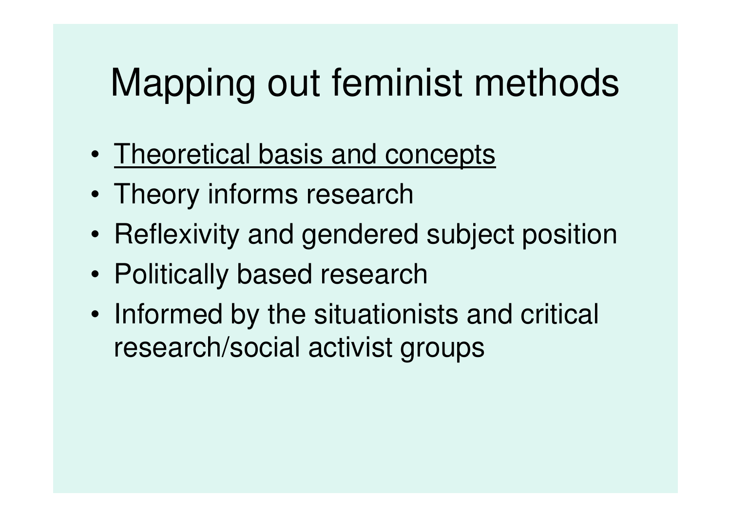# Mapping out feminist methods

- •**Theoretical basis and concepts**
- •Theory informs research
- •Reflexivity and gendered subject position
- •Politically based research
- • Informed by the situationists and critical research/social activist groups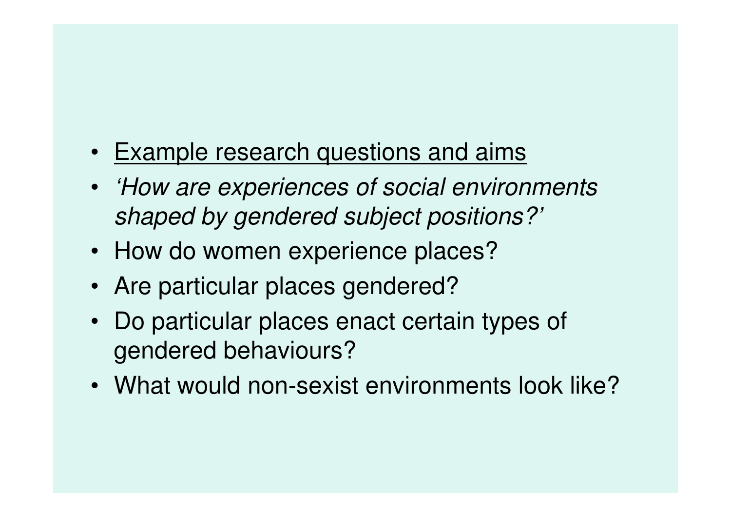- Example research questions and aims
- 'How are experiences of social environments shaped by gendered subject positions?'
- How do women experience places?
- Are particular places gendered?
- Do particular places enact certain types of gendered behaviours?
- What would non-sexist environments look like?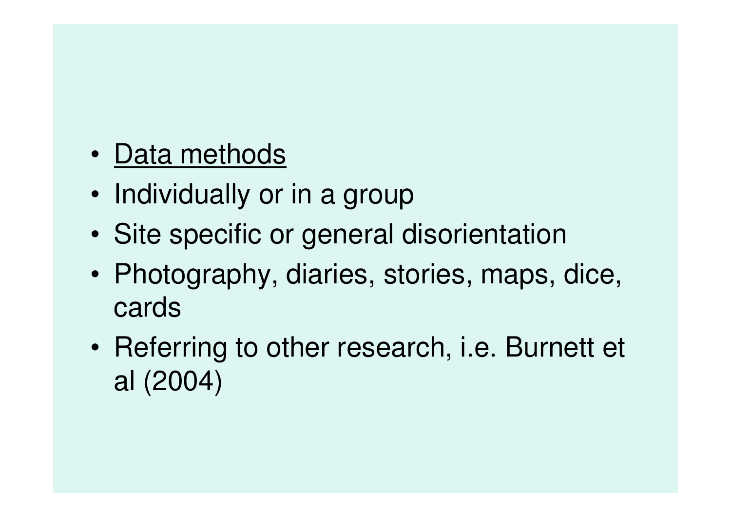- •**Data methods**
- •Individually or in a group
- •Site specific or general disorientation
- •• Photography, diaries, stories, maps, dice, cards
- • Referring to other research, i.e. Burnett et al (2004)